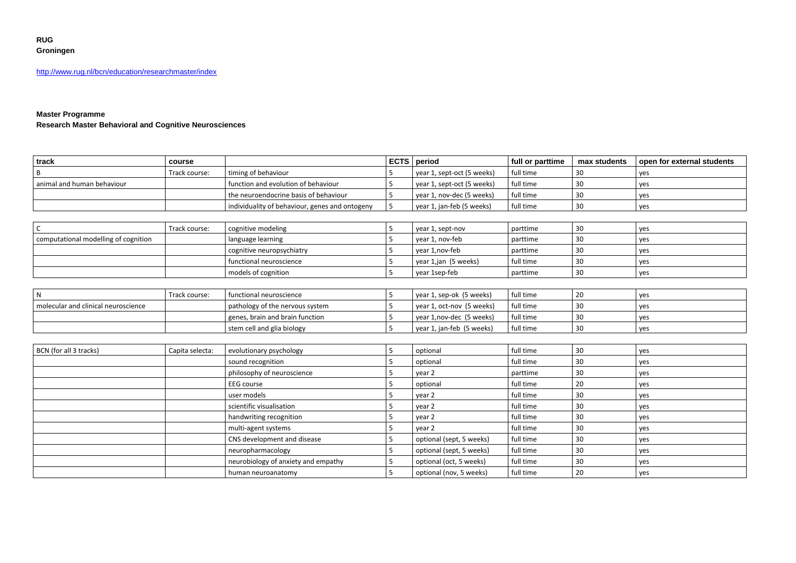## **RUG Groningen**

http://www.rug.nl/bcn/education/researchmaster/index

### **Master Programme**

**Research Master Behavioral and Cognitive Neurosciences**

| track                      | course        |                                                | <b>ECTS</b> period |                            | full or parttime | max students | open for external students |
|----------------------------|---------------|------------------------------------------------|--------------------|----------------------------|------------------|--------------|----------------------------|
|                            | Track course: | timing of behaviour                            |                    | year 1, sept-oct (5 weeks) | full time        |              | ves                        |
| animal and human behaviour |               | function and evolution of behaviour            |                    | year 1, sept-oct (5 weeks) | full time        | 3C           | ves                        |
|                            |               | I the neuroendocrine basis of behaviour        |                    | vear 1, nov-dec (5 weeks)  | full time        |              | ves                        |
|                            |               | individuality of behaviour, genes and ontogeny |                    | vear 1, jan-feb (5 weeks)  | full time        |              | yes                        |

|                                      | Track course: | cognitive modeling        |                 | year 1, sept-nov     | parttime  | ₹Û | l ves |
|--------------------------------------|---------------|---------------------------|-----------------|----------------------|-----------|----|-------|
| computational modelling of cognition |               | language learning         | vear 1. nov-feb |                      | parttime  | 30 | I ves |
|                                      |               | cognitive neuropsychiatry |                 | vear 1.nov-feb       | parttime  | ٩n | I ves |
|                                      |               | functional neuroscience   |                 | vear 1,jan (5 weeks) | full time | 30 | l ves |
|                                      |               | models of cognition       |                 | year 1sep-feb        | parttime  | ₹Û | l yes |

|                                     | Track course: | l functional neuroscience       | vear 1, sep-ok (5 weeks)  | full time | -20 | ves        |
|-------------------------------------|---------------|---------------------------------|---------------------------|-----------|-----|------------|
| molecular and clinical neuroscience |               | pathology of the nervous system | year 1, oct-nov (5 weeks) | full time |     | <b>ves</b> |
|                                     |               | genes, brain and brain function | vear 1, nov-dec (5 weeks) | full time |     | ves        |
|                                     |               | stem cell and glia biology      | vear 1, jan-feb (5 weeks) | full time |     | ves        |

| BCN (for all 3 tracks) | Capita selecta: | evolutionary psychology             |          | optional                 | full time       | 30 | yes |
|------------------------|-----------------|-------------------------------------|----------|--------------------------|-----------------|----|-----|
|                        |                 | sound recognition                   |          | optional                 | full time       | 30 | yes |
|                        |                 | philosophy of neuroscience          |          | year 2                   | parttime        | 30 | yes |
|                        |                 | <b>EEG</b> course                   | optional |                          | full time       | 20 | yes |
|                        |                 | user models<br>year 2               |          |                          | full time<br>30 |    | yes |
|                        |                 | scientific visualisation            |          | year 2                   | full time       | 30 | yes |
|                        |                 | handwriting recognition             |          | year 2                   | full time       | 30 | yes |
|                        |                 | multi-agent systems                 |          | year 2                   | full time       | 30 | yes |
|                        |                 | CNS development and disease         |          | optional (sept, 5 weeks) | full time       | 30 | yes |
|                        |                 | neuropharmacology                   |          | optional (sept, 5 weeks) | full time       | 30 | yes |
|                        |                 | neurobiology of anxiety and empathy |          | optional (oct, 5 weeks)  | full time       | 30 | yes |
|                        |                 | human neuroanatomy                  |          | optional (nov, 5 weeks)  | full time       | 20 | yes |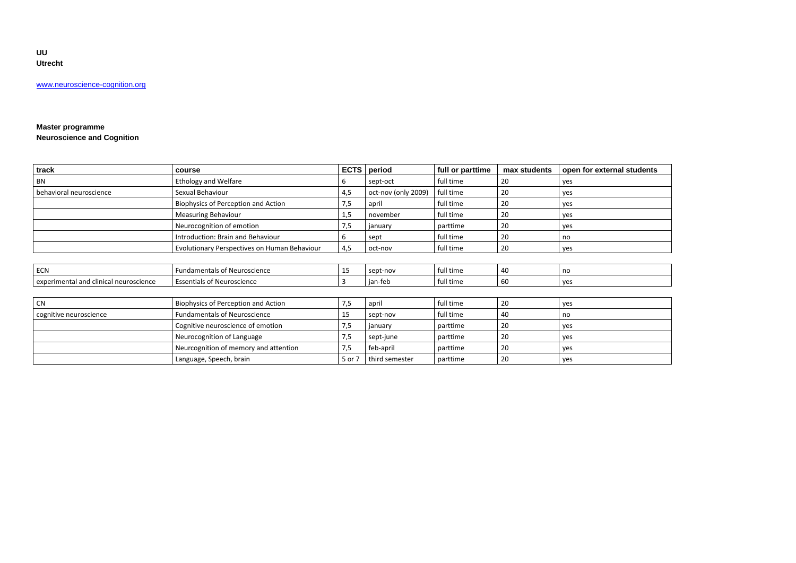**UU Utrecht**

[www.neuroscience-cognition.org](http://www.bio.uu.nl/behaviouralneuroscience)

### **Master programme Neuroscience and Cognition**

| track                                  | course                                       | <b>ECTS</b> | period              | full or parttime | max students | open for external students |
|----------------------------------------|----------------------------------------------|-------------|---------------------|------------------|--------------|----------------------------|
| <b>BN</b>                              | <b>Ethology and Welfare</b>                  | 6           | sept-oct            | full time        | 20           | yes                        |
| behavioral neuroscience                | Sexual Behaviour                             | 4,5         | oct-nov (only 2009) | full time        | 20           | yes                        |
|                                        | Biophysics of Perception and Action          | 7,5         | april               | full time        | 20           | yes                        |
|                                        | <b>Measuring Behaviour</b>                   | 1,5         | november            | full time        | 20           | yes                        |
|                                        | Neurocognition of emotion                    | 7,5         | january             | parttime         | 20           | yes                        |
|                                        | Introduction: Brain and Behaviour            | 6           | sept                | full time        | 20           | no                         |
|                                        | Evolutionary Perspectives on Human Behaviour | 4,5         | oct-nov             | full time        | 20           | yes                        |
|                                        |                                              |             |                     |                  |              |                            |
| <b>ECN</b>                             | <b>Fundamentals of Neuroscience</b>          | 15          | sept-nov            | full time        | 40           | no                         |
| experimental and clinical neuroscience | <b>Essentials of Neuroscience</b>            | 3           | jan-feb             | full time        | 60           | yes                        |
|                                        |                                              |             |                     |                  |              |                            |
| <b>CN</b>                              | Biophysics of Perception and Action          | 7,5         | april               | full time        | 20           | yes                        |
| cognitive neuroscience                 | <b>Fundamentals of Neuroscience</b>          | 15          | sept-nov            | full time        | 40           | no                         |
|                                        | Cognitive neuroscience of emotion            | 7,5         | january             | parttime         | 20           | yes                        |
|                                        | Neurocognition of Language                   | 7,5         | sept-june           | parttime         | 20           | yes                        |
|                                        | Neurcognition of memory and attention        | 7,5         | feb-april           | parttime         | 20           | yes                        |
|                                        | Language, Speech, brain                      | 5 or 7      | third semester      | parttime         | 20           | yes                        |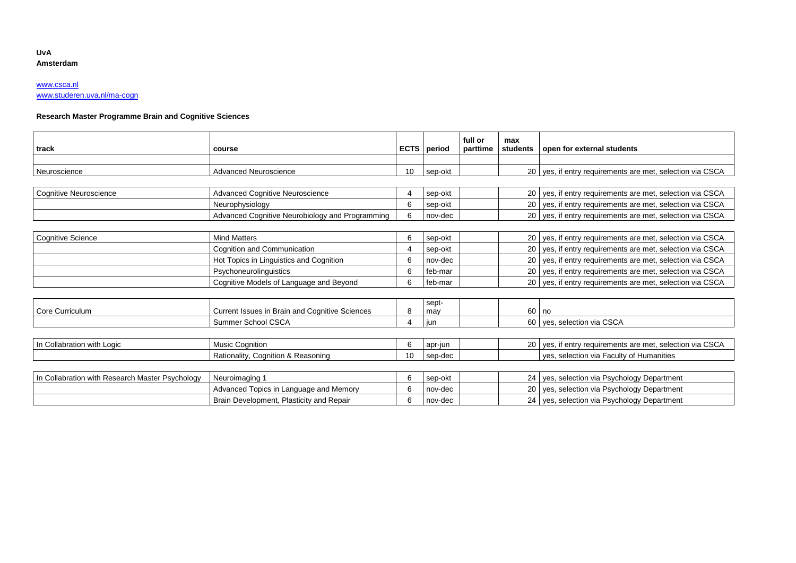#### **UvA Amsterdam**

# [www.csca.nl](http://www.csca.nl/)

[www.studeren.uva.nl/ma-cogn](http://www.studeren.uva.nl/ma-cogn)

## **Research Master Programme Brain and Cognitive Sciences**

| track                                           | course                                          |                | <b>ECTS</b> period | full or<br>parttime | max<br>students | open for external students                                  |
|-------------------------------------------------|-------------------------------------------------|----------------|--------------------|---------------------|-----------------|-------------------------------------------------------------|
|                                                 |                                                 |                |                    |                     |                 |                                                             |
| Neuroscience                                    | Advanced Neuroscience                           | 10             | sep-okt            |                     |                 | 20 yes, if entry requirements are met, selection via CSCA   |
|                                                 |                                                 |                |                    |                     |                 |                                                             |
| <b>Cognitive Neuroscience</b>                   | <b>Advanced Cognitive Neuroscience</b>          | 4              | sep-okt            |                     |                 | 20 yes, if entry requirements are met, selection via CSCA   |
|                                                 | Neurophysiology                                 | 6              | sep-okt            |                     |                 | 20 yes, if entry requirements are met, selection via CSCA   |
|                                                 | Advanced Cognitive Neurobiology and Programming | 6              | nov-dec            |                     |                 | 20 yes, if entry requirements are met, selection via CSCA   |
|                                                 |                                                 |                |                    |                     |                 |                                                             |
| Cognitive Science                               | <b>Mind Matters</b>                             | 6              | sep-okt            |                     |                 | 20 yes, if entry requirements are met, selection via CSCA   |
|                                                 | Cognition and Communication                     | $\overline{4}$ | sep-okt            |                     |                 | 20   yes, if entry requirements are met, selection via CSCA |
|                                                 | Hot Topics in Linguistics and Cognition         | 6              | nov-dec            |                     |                 | 20 yes, if entry requirements are met, selection via CSCA   |
|                                                 | Psychoneurolinguistics                          | 6              | feb-mar            |                     |                 | 20   yes, if entry requirements are met, selection via CSCA |
|                                                 | Cognitive Models of Language and Beyond         | 6              | feb-mar            |                     |                 | 20 yes, if entry requirements are met, selection via CSCA   |
|                                                 |                                                 |                |                    |                     |                 |                                                             |
| Core Curriculum                                 | Current Issues in Brain and Cognitive Sciences  | 8              | sept-<br>may       |                     |                 | $60$ no                                                     |
|                                                 | Summer School CSCA                              | 4              | jun                |                     |                 | 60   yes, selection via CSCA                                |
|                                                 |                                                 |                |                    |                     |                 |                                                             |
| In Collabration with Logic                      | Music Cognition                                 | 6              | apr-jun            |                     |                 | 20 yes, if entry requirements are met, selection via CSCA   |
|                                                 | Rationality, Cognition & Reasoning              | 10             | sep-dec            |                     |                 | yes, selection via Faculty of Humanities                    |
|                                                 |                                                 |                |                    |                     |                 |                                                             |
| In Collabration with Research Master Psychology | Neuroimaging 1                                  | 6              | sep-okt            |                     |                 | 24 yes, selection via Psychology Department                 |
|                                                 | Advanced Topics in Language and Memory          | 6              | nov-dec            |                     |                 | 20 yes, selection via Psychology Department                 |
|                                                 | Brain Development, Plasticity and Repair        | 6              | nov-dec            |                     |                 | 24 yes, selection via Psychology Department                 |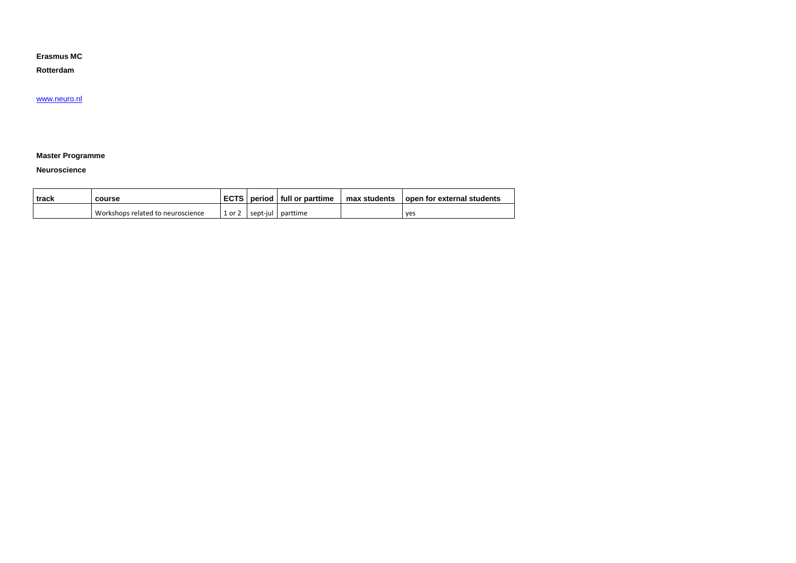#### **Erasmus MC**

**Rotterdam**

#### [www.neuro.nl](http://www.neuro.nl/)

### **Master Programme**

#### **Neuroscience**

| track | course                            |        | ECTS   period   full or parttime | max students | l open for external students |
|-------|-----------------------------------|--------|----------------------------------|--------------|------------------------------|
|       | Workshops related to neuroscience | or $2$ | sept-jul parttime                |              | ves                          |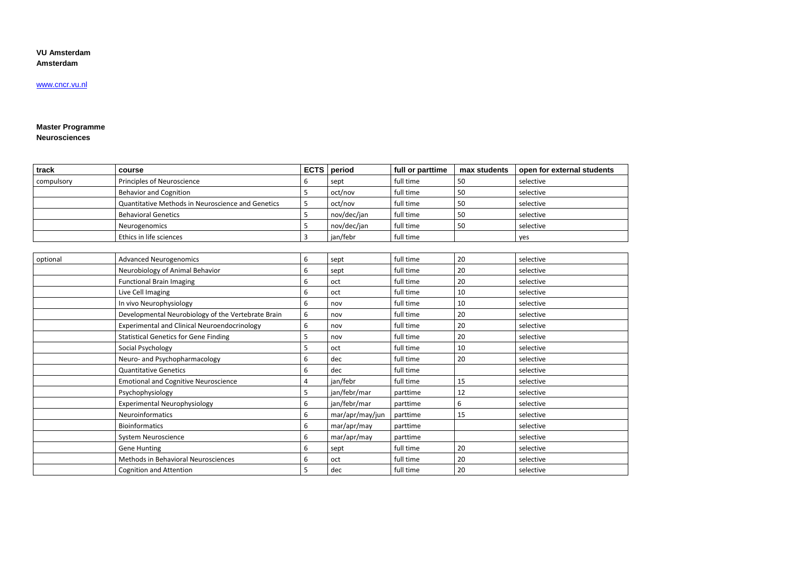#### **VU Amsterdam Amsterdam**

## www.cncr.vu.nl

#### **Master Programme Neurosciences**

| track      | course                                              | <b>ECTS</b> | period          | full or parttime | max students | open for external students |
|------------|-----------------------------------------------------|-------------|-----------------|------------------|--------------|----------------------------|
| compulsory | Principles of Neuroscience                          | 6           | sept            | full time        | 50           | selective                  |
|            | <b>Behavior and Cognition</b>                       | 5           | oct/nov         | full time        | 50           | selective                  |
|            | Quantitative Methods in Neuroscience and Genetics   | 5           | oct/nov         | full time        | 50           | selective                  |
|            | <b>Behavioral Genetics</b>                          | 5           | nov/dec/jan     | full time        | 50           | selective                  |
|            | Neurogenomics                                       | 5           | nov/dec/jan     | full time        | 50           | selective                  |
|            | Ethics in life sciences                             | 3           | jan/febr        | full time        |              | yes                        |
|            |                                                     |             |                 |                  |              |                            |
| optional   | <b>Advanced Neurogenomics</b>                       | 6           | sept            | full time        | 20           | selective                  |
|            | Neurobiology of Animal Behavior                     | 6           | sept            | full time        | 20           | selective                  |
|            | <b>Functional Brain Imaging</b>                     | 6           | oct             | full time        | 20           | selective                  |
|            | Live Cell Imaging                                   | 6           | oct             | full time        | 10           | selective                  |
|            | In vivo Neurophysiology                             | 6           | nov             | full time        | 10           | selective                  |
|            | Developmental Neurobiology of the Vertebrate Brain  | 6           | nov             | full time        | 20           | selective                  |
|            | <b>Experimental and Clinical Neuroendocrinology</b> | 6           | nov             | full time        | 20           | selective                  |
|            | <b>Statistical Genetics for Gene Finding</b>        | 5           | nov             | full time        | 20           | selective                  |
|            | Social Psychology                                   | 5           | oct             | full time        | 10           | selective                  |
|            | Neuro- and Psychopharmacology                       | 6           | dec             | full time        | 20           | selective                  |
|            | <b>Quantitative Genetics</b>                        | 6           | dec             | full time        |              | selective                  |
|            | <b>Emotional and Cognitive Neuroscience</b>         | 4           | jan/febr        | full time        | 15           | selective                  |
|            | Psychophysiology                                    | 5           | jan/febr/mar    | parttime         | 12           | selective                  |
|            | <b>Experimental Neurophysiology</b>                 | 6           | jan/febr/mar    | parttime         | 6            | selective                  |
|            | Neuroinformatics                                    | 6           | mar/apr/may/jun | parttime         | 15           | selective                  |
|            | <b>Bioinformatics</b>                               | 6           | mar/apr/may     | parttime         |              | selective                  |
|            | System Neuroscience                                 | 6           | mar/apr/may     | parttime         |              | selective                  |
|            | <b>Gene Hunting</b>                                 | 6           | sept            | full time        | 20           | selective                  |
|            | Methods in Behavioral Neurosciences                 | 6           | oct             | full time        | 20           | selective                  |
|            | <b>Cognition and Attention</b>                      | 5           | dec             | full time        | 20           | selective                  |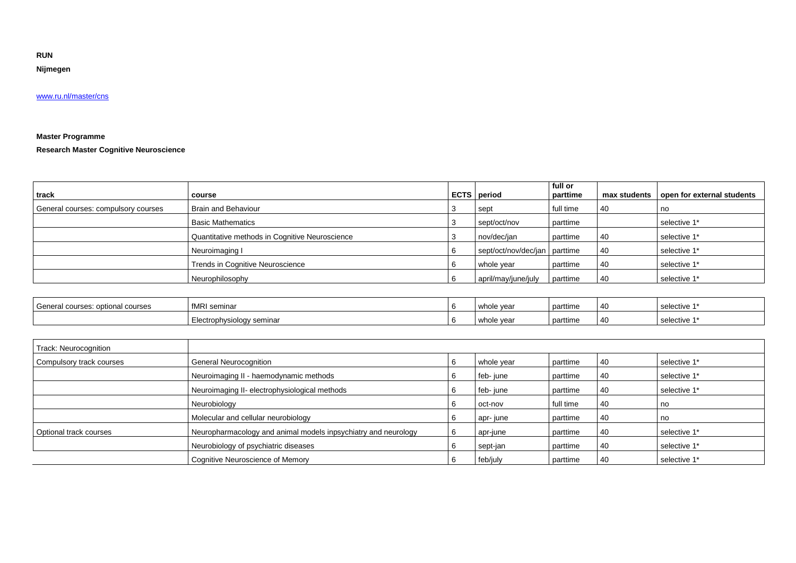**RUN**

**Nijmegen**

# [www.ru.nl/master/cns](http://www.ru.nl/master/cns)

# **Master Programme**

**Research Master Cognitive Neuroscience**

| track                               | course                                         | <b>ECTS</b> period            | full or<br>parttime | max students | open for external students |
|-------------------------------------|------------------------------------------------|-------------------------------|---------------------|--------------|----------------------------|
| General courses: compulsory courses | Brain and Behaviour                            | sept                          | full time           | 40           | na                         |
|                                     | <b>Basic Mathematics</b>                       | sept/oct/nov                  | parttime            |              | selective 1*               |
|                                     | Quantitative methods in Cognitive Neuroscience | nov/dec/jan                   | parttime            | 40           | selective 1*               |
|                                     | Neuroimaging I                                 | sept/oct/nov/dec/jan parttime |                     | 40           | selective 1*               |
|                                     | Trends in Cognitive Neuroscience               | whole year                    | parttime            | 40           | selective 1*               |
|                                     | Neurophilosophy                                | april/may/june/july           | parttime            | 40           | selective 1*               |

| General<br>l courses: optional courses | fMRI seminar              | whole vear | parttime | $\overline{\phantom{a}}$ | selective 1' |
|----------------------------------------|---------------------------|------------|----------|--------------------------|--------------|
|                                        | Electrophysiology seminar | whole year | parttime | $\overline{\phantom{a}}$ | selective 1' |

| Track: Neurocognition    |                                                                |            |           |    |              |
|--------------------------|----------------------------------------------------------------|------------|-----------|----|--------------|
| Compulsory track courses | <b>General Neurocognition</b>                                  | whole year | parttime  | 40 | selective 1* |
|                          | Neuroimaging II - haemodynamic methods                         | feb-june   | parttime  | 40 | selective 1* |
|                          | Neuroimaging II- electrophysiological methods                  | feb-june   | parttime  | 40 | selective 1* |
|                          | Neurobiology                                                   | oct-nov    | full time | 40 |              |
|                          | Molecular and cellular neurobiology                            | apr-june   | parttime  | 40 | na           |
| Optional track courses   | Neuropharmacology and animal models inpsychiatry and neurology | apr-june   | parttime  | 40 | selective 1* |
|                          | Neurobiology of psychiatric diseases                           | sept-jan   | parttime  | 40 | selective 1* |
|                          | Cognitive Neuroscience of Memory                               | feb/july   | parttime  | 40 | selective 1* |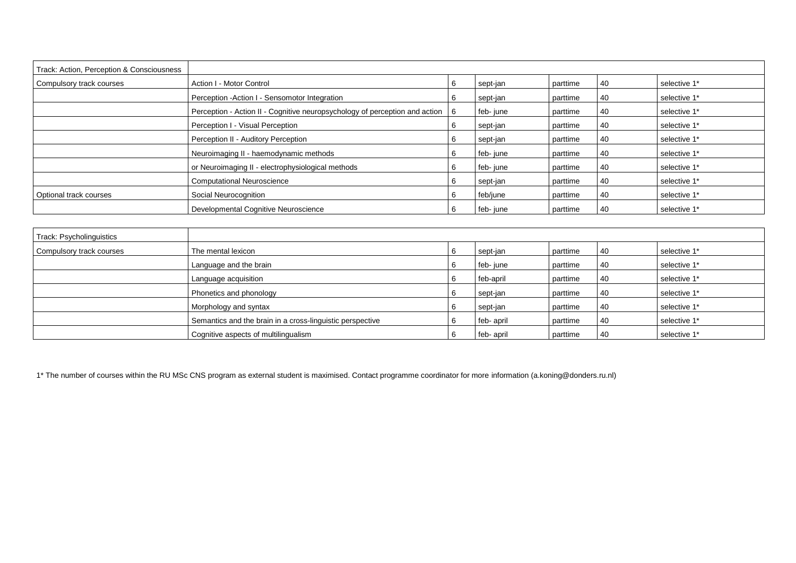| Track: Action, Perception & Consciousness |                                                                                 |   |          |          |    |              |
|-------------------------------------------|---------------------------------------------------------------------------------|---|----------|----------|----|--------------|
| Compulsory track courses                  | Action I - Motor Control                                                        | 6 | sept-jan | parttime | 40 | selective 1* |
|                                           | Perception - Action I - Sensomotor Integration                                  |   | sept-jan | parttime | 40 | selective 1* |
|                                           | Perception - Action II - Cognitive neuropsychology of perception and action   6 |   | feb-june | parttime | 40 | selective 1* |
|                                           | Perception I - Visual Perception                                                |   | sept-jan | parttime | 40 | selective 1* |
|                                           | Perception II - Auditory Perception                                             |   | sept-jan | parttime | 40 | selective 1* |
|                                           | Neuroimaging II - haemodynamic methods                                          |   | feb-june | parttime | 40 | selective 1* |
|                                           | or Neuroimaging II - electrophysiological methods                               |   | feb-june | parttime | 40 | selective 1* |
|                                           | <b>Computational Neuroscience</b>                                               | 6 | sept-jan | parttime | 40 | selective 1* |
| Optional track courses                    | Social Neurocognition                                                           | O | feb/june | parttime | 40 | selective 1* |
|                                           | Developmental Cognitive Neuroscience                                            |   | feb-june | parttime | 40 | selective 1* |

| Track: Psycholinguistics |                                                           |     |            |          |    |              |
|--------------------------|-----------------------------------------------------------|-----|------------|----------|----|--------------|
| Compulsory track courses | The mental lexicon                                        |     | sept-jan   | parttime | 40 | selective 1* |
|                          | Language and the brain                                    | l 6 | feb-june   | parttime | 40 | selective 1* |
|                          | Language acquisition                                      |     | feb-april  | parttime | 40 | selective 1* |
|                          | Phonetics and phonology                                   | 6   | sept-jan   | parttime | 40 | selective 1* |
|                          | Morphology and syntax                                     |     | sept-jan   | parttime | 40 | selective 1* |
|                          | Semantics and the brain in a cross-linguistic perspective |     | feb-april  | parttime | 40 | selective 1* |
|                          | Cognitive aspects of multilingualism                      |     | feb- april | parttime | 40 | selective 1* |

1\* The number of courses within the RU MSc CNS program as external student is maximised. Contact programme coordinator for more information (a.koning@donders.ru.nl)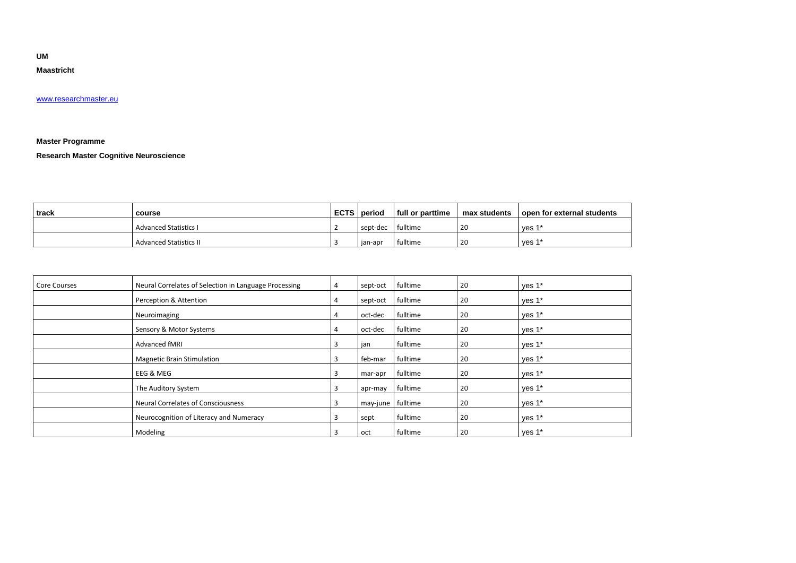**UM** 

### **Maastricht**

#### [www.researchmaster.eu](http://www.researchmaster.eu/)

# **Master Programme**

**Research Master Cognitive Neuroscience**

| track | course                        | <b>ECTS</b> | period   | full or parttime | max students | open for external students |
|-------|-------------------------------|-------------|----------|------------------|--------------|----------------------------|
|       | <b>Advanced Statistics I</b>  |             | sept-dec | fulltime         | 20           | ves 1                      |
|       | <b>Advanced Statistics II</b> |             | ian-apr  | fulltime         | 20           | ves 1                      |

| Core Courses | Neural Correlates of Selection in Language Processing | $\overline{4}$ | sept-oct | fulltime | 20 | yes 1* |
|--------------|-------------------------------------------------------|----------------|----------|----------|----|--------|
|              | Perception & Attention                                | 4              | sept-oct | fulltime | 20 | yes 1* |
|              | Neuroimaging                                          | 4              | oct-dec  | fulltime | 20 | yes 1* |
|              | Sensory & Motor Systems                               | 4              | oct-dec  | fulltime | 20 | yes 1* |
|              | Advanced fMRI                                         |                | jan      | fulltime | 20 | yes 1* |
|              | <b>Magnetic Brain Stimulation</b>                     |                | feb-mar  | fulltime | 20 | yes 1* |
|              | <b>EEG &amp; MEG</b>                                  |                | mar-apr  | fulltime | 20 | yes 1* |
|              | The Auditory System                                   |                | apr-may  | fulltime | 20 | yes 1* |
|              | <b>Neural Correlates of Consciousness</b>             | 3              | may-june | fulltime | 20 | yes 1* |
|              | Neurocognition of Literacy and Numeracy               |                | sept     | fulltime | 20 | yes 1* |
|              | Modeling                                              |                | oct      | fulltime | 20 | ves 1* |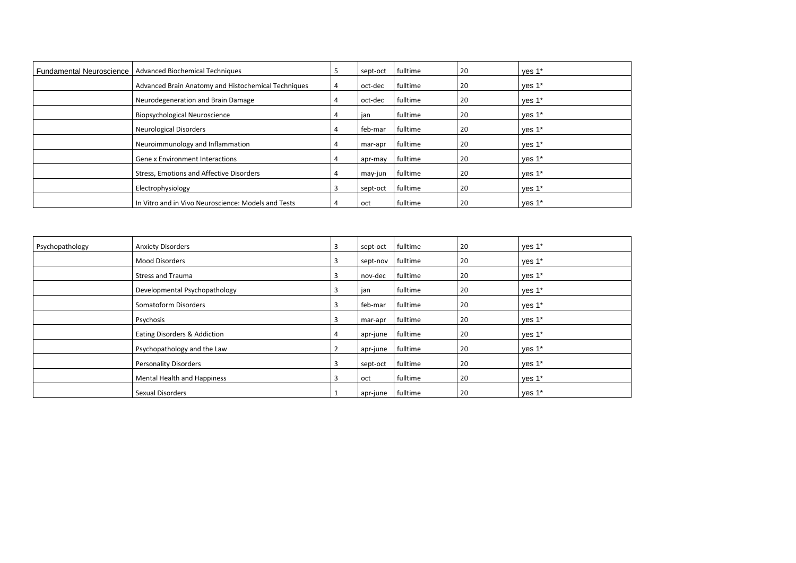| <b>Fundamental Neuroscience</b> | Advanced Biochemical Techniques                     |   | sept-oct | fulltime | 20 | yes 1* |
|---------------------------------|-----------------------------------------------------|---|----------|----------|----|--------|
|                                 | Advanced Brain Anatomy and Histochemical Techniques | 4 | oct-dec  | fulltime | 20 | yes 1* |
|                                 | Neurodegeneration and Brain Damage                  | 4 | oct-dec  | fulltime | 20 | yes 1* |
|                                 | <b>Biopsychological Neuroscience</b>                |   | jan      | fulltime | 20 | ves 1* |
|                                 | <b>Neurological Disorders</b>                       |   | feb-mar  | fulltime | 20 | yes 1* |
|                                 | Neuroimmunology and Inflammation                    | 4 | mar-apr  | fulltime | 20 | yes 1* |
|                                 | <b>Gene x Environment Interactions</b>              |   | apr-may  | fulltime | 20 | yes 1* |
|                                 | Stress, Emotions and Affective Disorders            |   | may-jun  | fulltime | 20 | yes 1* |
|                                 | Electrophysiology                                   |   | sept-oct | fulltime | 20 | yes 1* |
|                                 | In Vitro and in Vivo Neuroscience: Models and Tests |   | oct      | fulltime | 20 | ves 1* |

| Psychopathology | <b>Anxiety Disorders</b>      | 3 | sept-oct | fulltime | 20 | yes 1* |
|-----------------|-------------------------------|---|----------|----------|----|--------|
|                 | <b>Mood Disorders</b>         | 3 | sept-nov | fulltime | 20 | yes 1* |
|                 | <b>Stress and Trauma</b>      | 3 | nov-dec  | fulltime | 20 | yes 1* |
|                 | Developmental Psychopathology | 3 | jan      | fulltime | 20 | yes 1* |
|                 | Somatoform Disorders          | 3 | feb-mar  | fulltime | 20 | yes 1* |
|                 | Psychosis                     | 3 | mar-apr  | fulltime | 20 | yes 1* |
|                 | Eating Disorders & Addiction  | 4 | apr-june | fulltime | 20 | yes 1* |
|                 | Psychopathology and the Law   |   | apr-june | fulltime | 20 | yes 1* |
|                 | <b>Personality Disorders</b>  | 3 | sept-oct | fulltime | 20 | yes 1* |
|                 | Mental Health and Happiness   | 3 | oct      | fulltime | 20 | yes 1* |
|                 | Sexual Disorders              |   | apr-june | fulltime | 20 | yes 1* |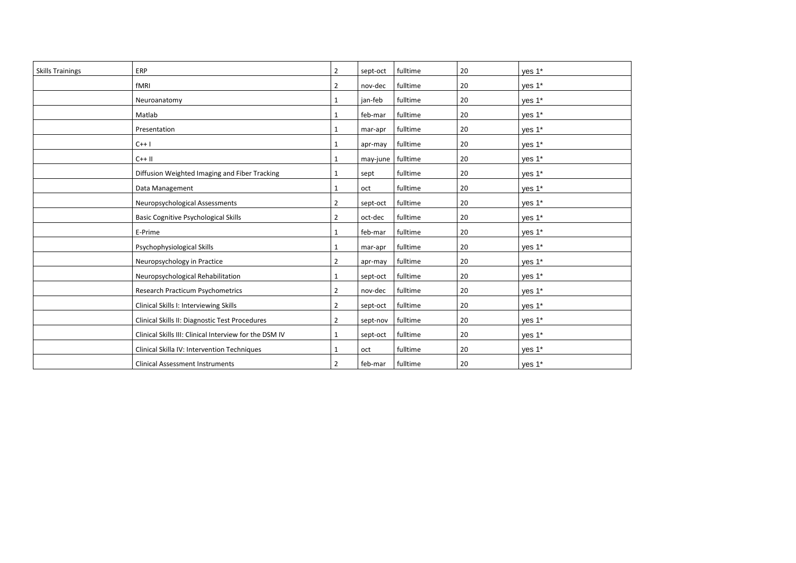| <b>Skills Trainings</b> | ERP                                                    | $\overline{2}$ | sept-oct | fulltime | 20 | yes 1* |
|-------------------------|--------------------------------------------------------|----------------|----------|----------|----|--------|
|                         | fMRI                                                   | $\overline{2}$ | nov-dec  | fulltime | 20 | yes 1* |
|                         | Neuroanatomy                                           | $\mathbf{1}$   | jan-feb  | fulltime | 20 | ves 1* |
|                         | Matlab                                                 | $\mathbf{1}$   | feb-mar  | fulltime | 20 | yes 1* |
|                         | Presentation                                           | $\mathbf{1}$   | mar-apr  | fulltime | 20 | yes 1* |
|                         | $C++1$                                                 | 1              | apr-may  | fulltime | 20 | yes 1* |
|                         | $C++$ II                                               | 1              | may-june | fulltime | 20 | yes 1* |
|                         | Diffusion Weighted Imaging and Fiber Tracking          |                | sept     | fulltime | 20 | yes 1* |
|                         | Data Management                                        | $\mathbf{1}$   | oct      | fulltime | 20 | yes 1* |
|                         | Neuropsychological Assessments                         | $\overline{2}$ | sept-oct | fulltime | 20 | yes 1* |
|                         | <b>Basic Cognitive Psychological Skills</b>            | $\overline{2}$ | oct-dec  | fulltime | 20 | yes 1* |
|                         | E-Prime                                                | $\mathbf{1}$   | feb-mar  | fulltime | 20 | yes 1* |
|                         | Psychophysiological Skills                             | $\mathbf{1}$   | mar-apr  | fulltime | 20 | yes 1* |
|                         | Neuropsychology in Practice                            | $\overline{2}$ | apr-may  | fulltime | 20 | yes 1* |
|                         | Neuropsychological Rehabilitation                      | $\mathbf{1}$   | sept-oct | fulltime | 20 | yes 1* |
|                         | Research Practicum Psychometrics                       | $\overline{2}$ | nov-dec  | fulltime | 20 | yes 1* |
|                         | Clinical Skills I: Interviewing Skills                 | $\overline{2}$ | sept-oct | fulltime | 20 | yes 1* |
|                         | Clinical Skills II: Diagnostic Test Procedures         | $\overline{2}$ | sept-nov | fulltime | 20 | yes 1* |
|                         | Clinical Skills III: Clinical Interview for the DSM IV | $\mathbf{1}$   | sept-oct | fulltime | 20 | yes 1* |
|                         | Clinical Skilla IV: Intervention Techniques            | $\mathbf{1}$   | oct      | fulltime | 20 | yes 1* |
|                         | <b>Clinical Assessment Instruments</b>                 | $\overline{2}$ | feb-mar  | fulltime | 20 | ves 1* |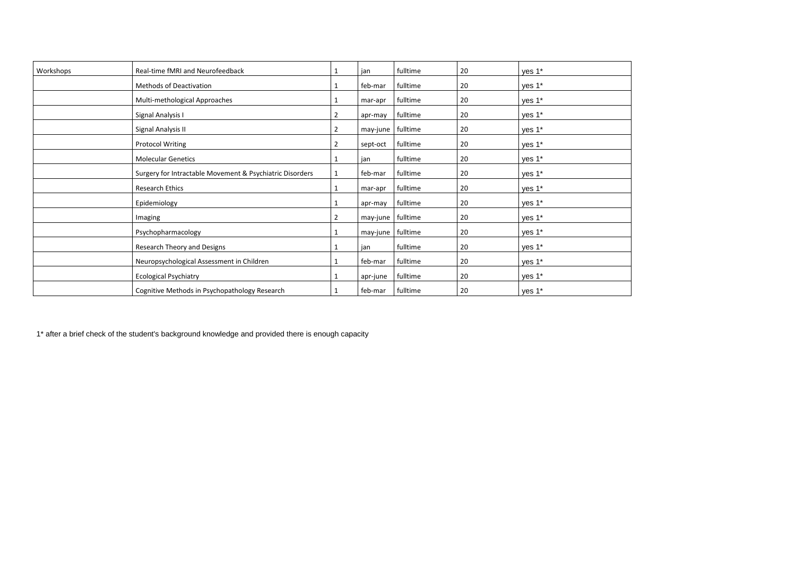| Workshops | Real-time fMRI and Neurofeedback                         |   | jan      | fulltime | 20 | yes 1* |
|-----------|----------------------------------------------------------|---|----------|----------|----|--------|
|           | Methods of Deactivation                                  |   | feb-mar  | fulltime | 20 | yes 1* |
|           | Multi-methological Approaches                            |   | mar-apr  | fulltime | 20 | yes 1* |
|           | Signal Analysis I                                        | 2 | apr-may  | fulltime | 20 | yes 1* |
|           | Signal Analysis II                                       | 2 | may-june | fulltime | 20 | yes 1* |
|           | <b>Protocol Writing</b>                                  | 2 | sept-oct | fulltime | 20 | yes 1* |
|           | <b>Molecular Genetics</b>                                |   | jan      | fulltime | 20 | yes 1* |
|           | Surgery for Intractable Movement & Psychiatric Disorders |   | feb-mar  | fulltime | 20 | yes 1* |
|           | <b>Research Ethics</b>                                   |   | mar-apr  | fulltime | 20 | yes 1* |
|           | Epidemiology                                             |   | apr-may  | fulltime | 20 | yes 1* |
|           | Imaging                                                  | 2 | may-june | fulltime | 20 | yes 1* |
|           | Psychopharmacology                                       |   | may-june | fulltime | 20 | ves 1* |
|           | Research Theory and Designs                              |   | jan      | fulltime | 20 | yes 1* |
|           | Neuropsychological Assessment in Children                |   | feb-mar  | fulltime | 20 | yes 1* |
|           | <b>Ecological Psychiatry</b>                             |   | apr-june | fulltime | 20 | yes 1* |
|           | Cognitive Methods in Psychopathology Research            |   | feb-mar  | fulltime | 20 | yes 1* |

1\* after a brief check of the student's background knowledge and provided there is enough capacity